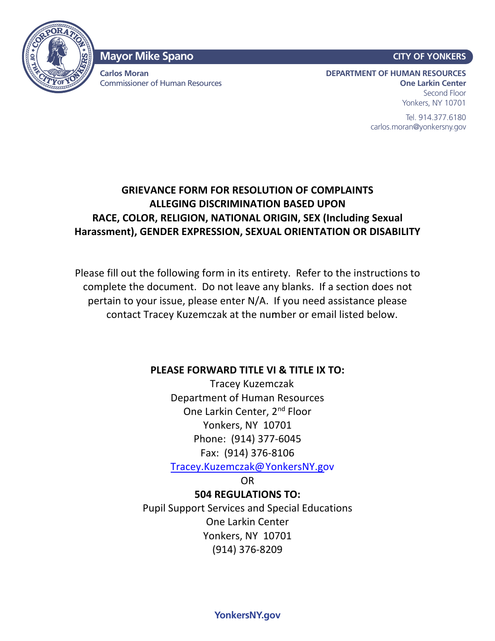

### **Mayor Mike Spano**

**Carlos Moran** Commissioner of Human Resources

#### **CITY OF YONKERS**

**DEPARTMENT OF HUMAN RESOURCES One Larkin Center** Second Floor Yonkers, NY 10701

> Tel. 914.377.6180 carlos.moran@yonkersny.gov

# **GRIEVANCE FORM FOR RESOLUTION OF COMPLAINTS ALLEGING DISCRIMINATION BASED UPON RACE, COLOR, RELIGION, NATIONAL ORIGIN, SEX (Including Sexual Harassment), GENDER EXPRESSION, SEXUAL ORIENTATION OR DISABILITY**

Please fill out the following form in its entirety. Refer to the instructions to complete the document. Do not leave any blanks. If a section does not pertain to your issue, please enter N/A. If you need assistance please contact Tracey Kuzemczak at the nunmber or email listed below.

#### **PLEASE FORWARD TITLE VI & TITLE IX TO:**

Tracey Kuzemczak Department of Human Resources One Larkin Center, 2nd Floor Yonkers, NY 10701 Phone: (914) 377-6045 Fax: (914) 376-8106

Tracey.Kuzemczak@ YonkersNY.gov

OR

**504 REGULATIONS TO:** Pupil Support Services and Special Educations One Larkin Center Yonkers, NY 10701 (914) 376-8209

**YonkersNY.gov**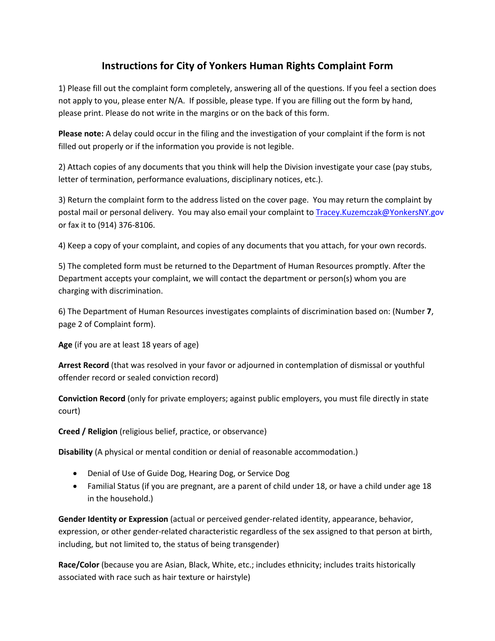## **Instructions for City of Yonkers Human Rights Complaint Form**

1) Please fill out the complaint form completely, answering all of the questions. If you feel a section does not apply to you, please enter N/A. If possible, please type. If you are filling out the form by hand, please print. Please do not write in the margins or on the back of this form.

**Please note:** A delay could occur in the filing and the investigation of your complaint if the form is not filled out properly or if the information you provide is not legible.

2) Attach copies of any documents that you think will help the Division investigate your case (pay stubs, letter of termination, performance evaluations, disciplinary notices, etc.).

3) Return the complaint form to the address listed on the cover page. You may return the complaint by postal mail or personal delivery. You may also email your complaint to Tracey.Kuzemczak@YonkersNY.gov or fax it to (914) 376-8106.

4) Keep a copy of your complaint, and copies of any documents that you attach, for your own records.

5) The completed form must be returned to the Department of Human Resources promptly. After the Department accepts your complaint, we will contact the department or person(s) whom you are charging with discrimination.

6) The Department of Human Resources investigates complaints of discrimination based on: (Number **7**, page 2 of Complaint form).

**Age** (if you are at least 18 years of age)

**Arrest Record** (that was resolved in your favor or adjourned in contemplation of dismissal or youthful offender record or sealed conviction record)

**Conviction Record** (only for private employers; against public employers, you must file directly in state court)

**Creed / Religion** (religious belief, practice, or observance)

**Disability** (A physical or mental condition or denial of reasonable accommodation.)

- Denial of Use of Guide Dog, Hearing Dog, or Service Dog
- Familial Status (if you are pregnant, are a parent of child under 18, or have a child under age 18 in the household.)

**Gender Identity or Expression** (actual or perceived gender-related identity, appearance, behavior, expression, or other gender-related characteristic regardless of the sex assigned to that person at birth, including, but not limited to, the status of being transgender)

**Race/Color** (because you are Asian, Black, White, etc.; includes ethnicity; includes traits historically associated with race such as hair texture or hairstyle)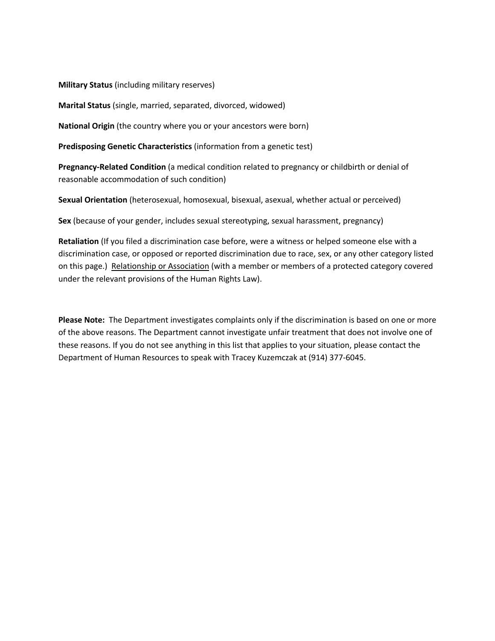**Military Status** (including military reserves)

**Marital Status** (single, married, separated, divorced, widowed)

**National Origin** (the country where you or your ancestors were born)

**Predisposing Genetic Characteristics** (information from a genetic test)

**Pregnancy-Related Condition** (a medical condition related to pregnancy or childbirth or denial of reasonable accommodation of such condition)

**Sexual Orientation** (heterosexual, homosexual, bisexual, asexual, whether actual or perceived)

**Sex** (because of your gender, includes sexual stereotyping, sexual harassment, pregnancy)

**Retaliation** (If you filed a discrimination case before, were a witness or helped someone else with a discrimination case, or opposed or reported discrimination due to race, sex, or any other category listed on this page.) Relationship or Association (with a member or members of a protected category covered under the relevant provisions of the Human Rights Law).

**Please Note:** The Department investigates complaints only if the discrimination is based on one or more of the above reasons. The Department cannot investigate unfair treatment that does not involve one of these reasons. If you do not see anything in this list that applies to your situation, please contact the Department of Human Resources to speak with Tracey Kuzemczak at (914) 377-6045.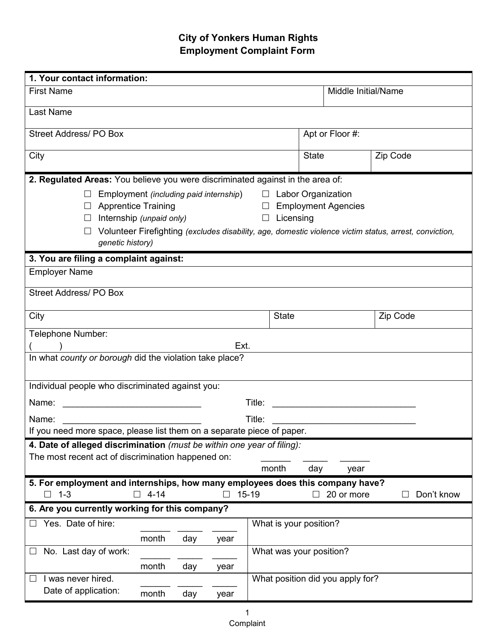# **City of Yonkers Human Rights Employment Complaint Form**

| 1. Your contact information:                                                   |                                                        |     |      |                                                                                      |              |                                  |                                                                                                        |
|--------------------------------------------------------------------------------|--------------------------------------------------------|-----|------|--------------------------------------------------------------------------------------|--------------|----------------------------------|--------------------------------------------------------------------------------------------------------|
| <b>First Name</b>                                                              |                                                        |     |      |                                                                                      |              | Middle Initial/Name              |                                                                                                        |
| Last Name                                                                      |                                                        |     |      |                                                                                      |              |                                  |                                                                                                        |
| <b>Street Address/PO Box</b>                                                   |                                                        |     |      |                                                                                      |              | Apt or Floor #:                  |                                                                                                        |
| City                                                                           |                                                        |     |      |                                                                                      | <b>State</b> |                                  | Zip Code                                                                                               |
| 2. Regulated Areas: You believe you were discriminated against in the area of: |                                                        |     |      |                                                                                      |              |                                  |                                                                                                        |
| genetic history)                                                               | <b>Apprentice Training</b><br>Internship (unpaid only) |     |      | Employment (including paid internship) $\Box$ Labor Organization<br>$\Box$ Licensing |              | $\Box$ Employment Agencies       | Volunteer Firefighting (excludes disability, age, domestic violence victim status, arrest, conviction, |
| 3. You are filing a complaint against:                                         |                                                        |     |      |                                                                                      |              |                                  |                                                                                                        |
| <b>Employer Name</b>                                                           |                                                        |     |      |                                                                                      |              |                                  |                                                                                                        |
| <b>Street Address/PO Box</b>                                                   |                                                        |     |      |                                                                                      |              |                                  |                                                                                                        |
| City                                                                           |                                                        |     |      | <b>State</b>                                                                         |              |                                  | Zip Code                                                                                               |
| Telephone Number:                                                              |                                                        |     | Ext. |                                                                                      |              |                                  |                                                                                                        |
| In what county or borough did the violation take place?                        |                                                        |     |      |                                                                                      |              |                                  |                                                                                                        |
| Individual people who discriminated against you:                               |                                                        |     |      |                                                                                      |              |                                  |                                                                                                        |
|                                                                                |                                                        |     |      |                                                                                      |              |                                  |                                                                                                        |
| Name:                                                                          |                                                        |     |      | Title:                                                                               |              |                                  |                                                                                                        |
| If you need more space, please list them on a separate piece of paper.         |                                                        |     |      |                                                                                      |              |                                  |                                                                                                        |
| 4. Date of alleged discrimination (must be within one year of filing):         |                                                        |     |      |                                                                                      |              |                                  |                                                                                                        |
| The most recent act of discrimination happened on:                             |                                                        |     |      | month                                                                                | day          | year                             |                                                                                                        |
| 5. For employment and internships, how many employees does this company have?  |                                                        |     |      |                                                                                      |              |                                  |                                                                                                        |
| $1 - 3$<br>$\Box$                                                              | $4 - 14$<br>n.                                         |     | П    | $15 - 19$                                                                            |              | 20 or more                       | Don't know                                                                                             |
| 6. Are you currently working for this company?                                 |                                                        |     |      |                                                                                      |              |                                  |                                                                                                        |
| Yes. Date of hire:                                                             |                                                        |     |      | What is your position?                                                               |              |                                  |                                                                                                        |
|                                                                                | month                                                  | day | year |                                                                                      |              |                                  |                                                                                                        |
| No. Last day of work:                                                          |                                                        |     |      | What was your position?                                                              |              |                                  |                                                                                                        |
|                                                                                | month                                                  | day | year |                                                                                      |              |                                  |                                                                                                        |
| I was never hired.                                                             |                                                        |     |      |                                                                                      |              | What position did you apply for? |                                                                                                        |
| Date of application:                                                           | month                                                  | day | year |                                                                                      |              |                                  |                                                                                                        |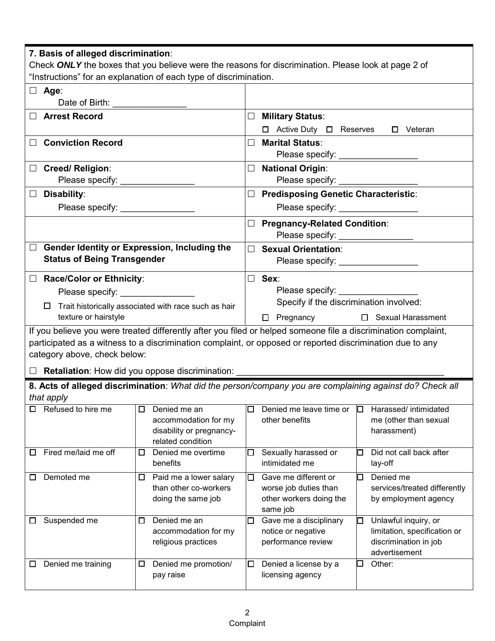| 7. Basis of alleged discrimination:              |                                                                   | Check ONLY the boxes that you believe were the reasons for discrimination. Please look at page 2 of            |
|--------------------------------------------------|-------------------------------------------------------------------|----------------------------------------------------------------------------------------------------------------|
|                                                  | "Instructions" for an explanation of each type of discrimination. |                                                                                                                |
| $\Box$ Age:<br>Date of Birth: __________________ |                                                                   |                                                                                                                |
| □ Arrest Record                                  |                                                                   | $\Box$<br><b>Military Status:</b>                                                                              |
|                                                  |                                                                   | $\Box$ Active Duty $\Box$ Reserves<br>□ Veteran                                                                |
| □ Conviction Record                              |                                                                   | <b>Marital Status:</b><br>$\Box$                                                                               |
| □ Creed/ Religion:                               |                                                                   | □ National Origin:                                                                                             |
| Please specify: ________________                 |                                                                   | Please specify: ___________________                                                                            |
| $\Box$ Disability:                               |                                                                   | □ Predisposing Genetic Characteristic:                                                                         |
| Please specify: _______________                  |                                                                   | Please specify: __________________                                                                             |
|                                                  |                                                                   | □ Pregnancy-Related Condition:<br>Please specify: _________________                                            |
| $\Box$                                           | Gender Identity or Expression, Including the                      | $\Box$ Sexual Orientation:                                                                                     |
| <b>Status of Being Transgender</b>               |                                                                   | Please specify: __________________                                                                             |
| $\Box$ Race/Color or Ethnicity:                  |                                                                   | $\Box$ Sex:                                                                                                    |
| Please specify: _________________                |                                                                   | Please specify:                                                                                                |
| $\Box$                                           | Trait historically associated with race such as hair              | Specify if the discrimination involved:                                                                        |
| texture or hairstyle                             |                                                                   | □ Pregnancy □ Sexual Harassment                                                                                |
|                                                  |                                                                   | If you believe you were treated differently after you filed or helped someone file a discrimination complaint, |
|                                                  |                                                                   | participated as a witness to a discrimination complaint, or opposed or reported discrimination due to any      |
| category above, check below:                     |                                                                   |                                                                                                                |
|                                                  |                                                                   | □ Retaliation: How did you oppose discrimination: _____________________________                                |
|                                                  |                                                                   | 8. Acts of alleged discrimination: What did the person/company you are complaining against do? Check all       |
| that apply                                       |                                                                   |                                                                                                                |
| Refused to hire me<br>□                          | Denied me an<br>□                                                 | Denied me leave time or<br>Harassed/ intimidated<br>问<br>ப                                                     |
|                                                  | accommodation for my                                              | other benefits<br>me (other than sexual                                                                        |
|                                                  | disability or pregnancy-<br>related condition                     | harassment)                                                                                                    |
| Fired me/laid me off<br>ப                        | Denied me overtime<br>□                                           | Sexually harassed or<br>Did not call back after<br>□<br>⊡                                                      |
|                                                  | benefits                                                          | intimidated me<br>lay-off                                                                                      |
| Demoted me<br>□                                  | Paid me a lower salary<br>□                                       | Gave me different or<br>Denied me<br>$\Box$<br>⊡                                                               |
|                                                  | than other co-workers                                             | worse job duties than<br>services/treated differently                                                          |
|                                                  | doing the same job                                                | other workers doing the<br>by employment agency<br>same job                                                    |
| Suspended me<br>ப                                | Denied me an<br>□                                                 | Gave me a disciplinary<br>Unlawful inquiry, or<br>$\Box$<br>⊡                                                  |
|                                                  | accommodation for my                                              | limitation, specification or<br>notice or negative                                                             |
|                                                  | religious practices                                               | performance review<br>discrimination in job                                                                    |
| Denied me training<br>ப                          | Denied me promotion/<br>□                                         | advertisement<br>Denied a license by a<br>Other:<br>$\Box$<br>$\Box$                                           |
|                                                  | pay raise                                                         | licensing agency                                                                                               |
|                                                  |                                                                   |                                                                                                                |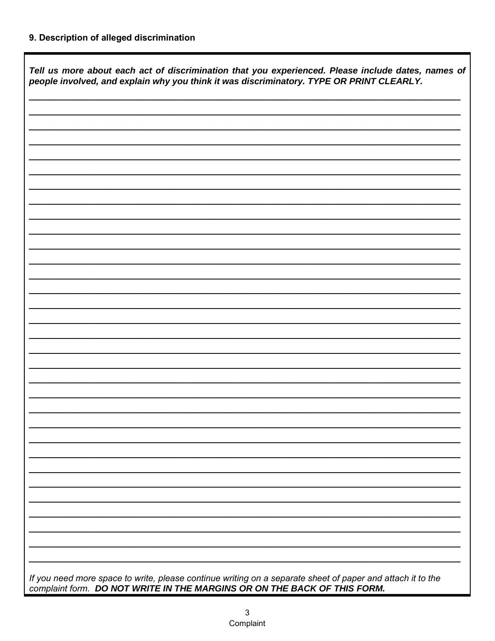## 9. Description of alleged discrimination

Г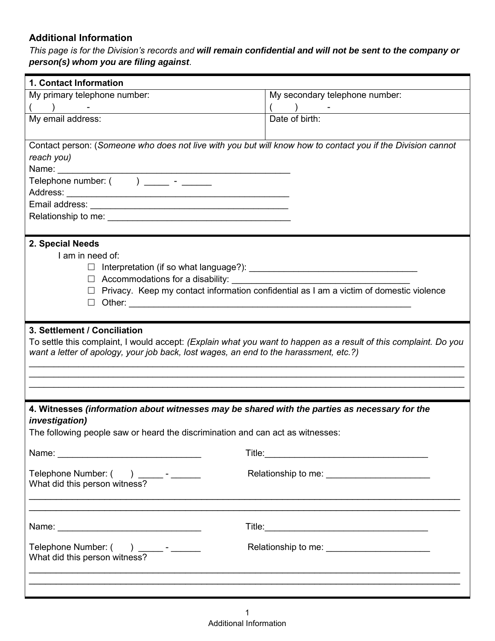## **Additional Information**

#### *This page is for the Division's records and will remain confidential and will not be sent to the company or person(s) whom you are filing against.*

| 1. Contact Information                                                                                           |                                                                                                                  |
|------------------------------------------------------------------------------------------------------------------|------------------------------------------------------------------------------------------------------------------|
| My primary telephone number:                                                                                     | My secondary telephone number:                                                                                   |
| $\begin{pmatrix} 1 & 1 \\ 1 & 1 \end{pmatrix}$                                                                   | (<br><u> 1970 - Jan Alexandria (</u>                                                                             |
| My email address:                                                                                                | Date of birth:                                                                                                   |
|                                                                                                                  |                                                                                                                  |
| Contact person: (Someone who does not live with you but will know how to contact you if the Division cannot      |                                                                                                                  |
| reach you)                                                                                                       |                                                                                                                  |
| Name:                                                                                                            |                                                                                                                  |
|                                                                                                                  |                                                                                                                  |
|                                                                                                                  |                                                                                                                  |
|                                                                                                                  |                                                                                                                  |
|                                                                                                                  |                                                                                                                  |
|                                                                                                                  |                                                                                                                  |
| 2. Special Needs                                                                                                 |                                                                                                                  |
| I am in need of:                                                                                                 |                                                                                                                  |
|                                                                                                                  |                                                                                                                  |
|                                                                                                                  | $\Box$ Privacy. Keep my contact information confidential as I am a victim of domestic violence                   |
| $\Box$                                                                                                           |                                                                                                                  |
|                                                                                                                  |                                                                                                                  |
| 3. Settlement / Conciliation                                                                                     |                                                                                                                  |
| To settle this complaint, I would accept: (Explain what you want to happen as a result of this complaint. Do you |                                                                                                                  |
| want a letter of apology, your job back, lost wages, an end to the harassment, etc.?)                            |                                                                                                                  |
|                                                                                                                  |                                                                                                                  |
|                                                                                                                  |                                                                                                                  |
|                                                                                                                  |                                                                                                                  |
|                                                                                                                  |                                                                                                                  |
| 4. Witnesses (information about witnesses may be shared with the parties as necessary for the                    |                                                                                                                  |
| <i>investigation)</i><br>The following people saw or heard the discrimination and can act as witnesses:          |                                                                                                                  |
|                                                                                                                  |                                                                                                                  |
|                                                                                                                  |                                                                                                                  |
|                                                                                                                  |                                                                                                                  |
| Telephone Number: () ______- - _______                                                                           |                                                                                                                  |
| What did this person witness?                                                                                    |                                                                                                                  |
|                                                                                                                  |                                                                                                                  |
|                                                                                                                  |                                                                                                                  |
|                                                                                                                  |                                                                                                                  |
|                                                                                                                  |                                                                                                                  |
| What did this person witness?                                                                                    |                                                                                                                  |
|                                                                                                                  |                                                                                                                  |
|                                                                                                                  | and the control of the control of the control of the control of the control of the control of the control of the |
|                                                                                                                  |                                                                                                                  |
|                                                                                                                  |                                                                                                                  |